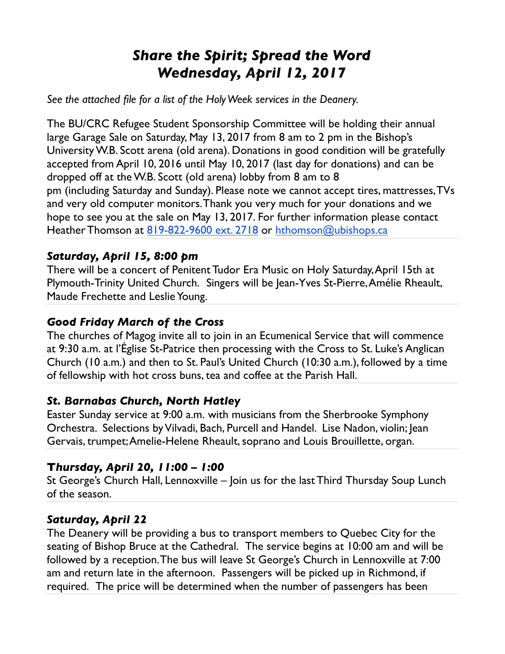# *Share the Spirit; Spread the Word Wednesday, April 12, 2017*

*See the attached file for a list of the Holy Week services in the Deanery.*

The BU/CRC Refugee Student Sponsorship Committee will be holding their annual large Garage Sale on Saturday, May 13, 2017 from 8 am to 2 pm in the Bishop's University W.B. Scott arena (old arena). Donations in good condition will be gratefully accepted from April 10, 2016 until May 10, 2017 (last day for donations) and can be dropped off at the W.B. Scott (old arena) lobby from 8 am to 8 pm (including Saturday and Sunday). Please note we cannot accept tires, mattresses, TVs and very old computer monitors. Thank you very much for your donations and we hope to see you at the sale on May 13, 2017. For further information please contact Heather Thomson at [819-822-9600 ext. 2718](tel:(819)%20822-9600) or [hthomson@ubishops.ca](mailto:hthomson@ubishops.ca)

#### *Saturday, April 15, 8:00 pm*

There will be a concert of Penitent Tudor Era Music on Holy Saturday, April 15th at Plymouth-Trinity United Church. Singers will be Jean-Yves St-Pierre, Amélie Rheault, Maude Frechette and Leslie Young.

#### *Good Friday March of the Cross*

The churches of Magog invite all to join in an Ecumenical Service that will commence at 9:30 a.m. at l'Église St-Patrice then processing with the Cross to St. Luke's Anglican Church (10 a.m.) and then to St. Paul's United Church (10:30 a.m.), followed by a time of fellowship with hot cross buns, tea and coffee at the Parish Hall.

#### *St. Barnabas Church, North Hatley*

Easter Sunday service at 9:00 a.m. with musicians from the Sherbrooke Symphony Orchestra. Selections by Vilvadi, Bach, Purcell and Handel. Lise Nadon, violin; Jean Gervais, trumpet; Amelie-Helene Rheault, soprano and Louis Brouillette, organ.

#### **T***hursday, April 20, 11:00 – 1:00*

St George's Church Hall, Lennoxville – Join us for the last Third Thursday Soup Lunch of the season.

#### *Saturday, April 22*

The Deanery will be providing a bus to transport members to Quebec City for the seating of Bishop Bruce at the Cathedral. The service begins at 10:00 am and will be followed by a reception. The bus will leave St George's Church in Lennoxville at 7:00 am and return late in the afternoon. Passengers will be picked up in Richmond, if required. The price will be determined when the number of passengers has been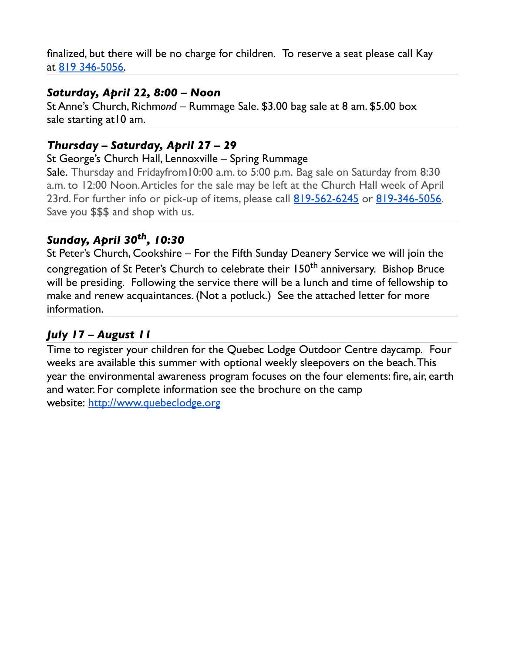finalized, but there will be no charge for children. To reserve a seat please call Kay at [819 346-5056.](tel:(819)%20346-5056)

#### *Saturday, April 22, 8:00 – Noon*

St Anne's Church, Richm*ond –* Rummage Sale. \$3.00 bag sale at 8 am. \$5.00 box sale starting at10 am.

## *Thursday – Saturday, April 27 – 29*

#### St George's Church Hall, Lennoxville – Spring Rummage

Sale. Thursday and Fridayfrom10:00 a.m. to 5:00 p.m. Bag sale on Saturday from 8:30 a.m. to 12:00 Noon. Articles for the sale may be left at the Church Hall week of April 23rd. For further info or pick-up of items, please call [819-562-6245](tel:(819)%20562-6245) or [819-346-5056.](tel:(819)%20346-5056) Save you \$\$\$ and shop with us.

## *Sunday, April 30th, 10:30*

St Peter's Church, Cookshire – For the Fifth Sunday Deanery Service we will join the congregation of St Peter's Church to celebrate their 150<sup>th</sup> anniversary. Bishop Bruce will be presiding. Following the service there will be a lunch and time of fellowship to make and renew acquaintances. (Not a potluck.) See the attached letter for more information.

#### *July 17 – August 11*

Time to register your children for the Quebec Lodge Outdoor Centre daycamp. Four weeks are available this summer with optional weekly sleepovers on the beach. This year the environmental awareness program focuses on the four elements: fire, air, earth and water. For complete information see the brochure on the camp website: [http://www.quebeclodge.org](http://www.quebeclodge.org/)